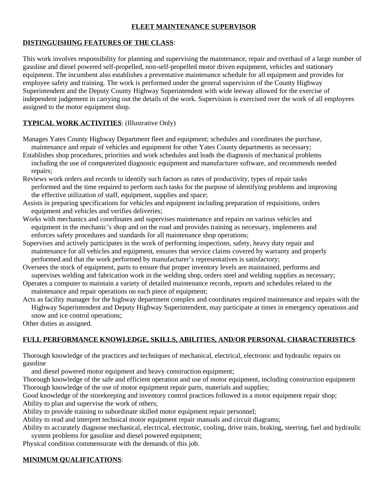# **FLEET MAINTENANCE SUPERVISOR**

### **DISTINGUISHING FEATURES OF THE CLASS**:

This work involves responsibility for planning and supervising the maintenance, repair and overhaul of a large number of gasoline and diesel powered self-propelled, non-self-propelled motor driven equipment, vehicles and stationary equipment. The incumbent also establishes a preventative maintenance schedule for all equipment and provides for employee safety and training. The work is performed under the general supervision of the County Highway Superintendent and the Deputy County Highway Superintendent with wide leeway allowed for the exercise of independent judgement in carrying out the details of the work. Supervision is exercised over the work of all employees assigned to the motor equipment shop.

# **TYPICAL WORK ACTIVITIES**: (Illustrative Only)

- Manages Yates County Highway Department fleet and equipment; schedules and coordinates the purchase, maintenance and repair of vehicles and equipment for other Yates County departments as necessary;
- Establishes shop procedures, priorities and work schedules and leads the diagnosis of mechanical problems including the use of computerized diagnostic equipment and manufacturer software, and recommends needed repairs;
- Reviews work orders and records to identify such factors as rates of productivity, types of repair tasks performed and the time required to perform such tasks for the purpose of identifying problems and improving the effective utilization of staff, equipment, supplies and space;
- Assists in preparing specifications for vehicles and equipment including preparation of requisitions, orders equipment and vehicles and verifies deliveries;
- Works with mechanics and coordinates and supervises maintenance and repairs on various vehicles and equipment in the mechanic's shop and on the road and provides training as necessary, implements and enforces safety procedures and standards for all maintenance shop operations;
- Supervises and actively participates in the work of performing inspections, safety, heavy duty repair and maintenance for all vehicles and equipment, ensures that service claims covered by warranty and properly performed and that the work performed by manufacturer's representatives is satisfactory;
- Oversees the stock of equipment, parts to ensure that proper inventory levels are maintained, performs and supervises welding and fabrication work in the welding shop, orders steel and welding supplies as necessary;
- Operates a computer to maintain a variety of detailed maintenance records, reports and schedules related to the maintenance and repair operations on each piece of equipment;
- Acts as facility manager for the highway department complex and coordinates required maintenance and repairs with the Highway Superintendent and Deputy Highway Superintendent, may participate at times in emergency operations and snow and ice control operations;

Other duties as assigned.

### **FULL PERFORMANCE KNOWLEDGE, SKILLS, ABILITIES, AND/OR PERSONAL CHARACTERISTICS**:

Thorough knowledge of the practices and techniques of mechanical, electrical, electronic and hydraulic repairs on gasoline

and diesel powered motor equipment and heavy construction equipment;

Thorough knowledge of the safe and efficient operation and use of motor equipment, including construction equipment Thorough knowledge of the use of motor equipment repair parts, materials and supplies;

Good knowledge of the storekeeping and inventory control practices followed in a motor equipment repair shop; Ability to plan and supervise the work of others;

Ability to provide training to subordinate skilled motor equipment repair personnel;

Ability to read and interpret technical motor equipment repair manuals and circuit diagrams;

Ability to accurately diagnose mechanical, electrical, electronic, cooling, drive train, braking, steering, fuel and hydraulic system problems for gasoline and diesel powered equipment;

Physical condition commensurate with the demands of this job.

### **MINIMUM QUALIFICATIONS**: